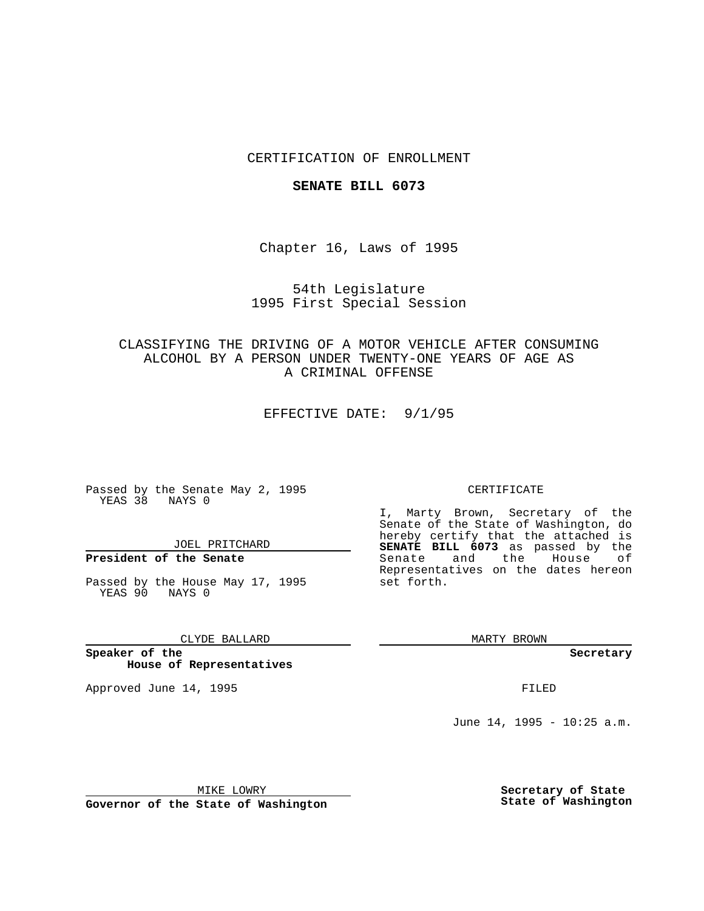## CERTIFICATION OF ENROLLMENT

#### **SENATE BILL 6073**

Chapter 16, Laws of 1995

## 54th Legislature 1995 First Special Session

## CLASSIFYING THE DRIVING OF A MOTOR VEHICLE AFTER CONSUMING ALCOHOL BY A PERSON UNDER TWENTY-ONE YEARS OF AGE AS A CRIMINAL OFFENSE

EFFECTIVE DATE: 9/1/95

Passed by the Senate May 2, 1995 YEAS 38 NAYS 0

JOEL PRITCHARD

## **President of the Senate**

Passed by the House May 17, 1995 YEAS 90 NAYS 0

#### CLYDE BALLARD

**Speaker of the House of Representatives**

Approved June 14, 1995 **FILED** 

#### CERTIFICATE

I, Marty Brown, Secretary of the Senate of the State of Washington, do hereby certify that the attached is **SENATE BILL 6073** as passed by the Senate and the House of Representatives on the dates hereon set forth.

MARTY BROWN

**Secretary**

June 14, 1995 - 10:25 a.m.

MIKE LOWRY

**Governor of the State of Washington**

**Secretary of State State of Washington**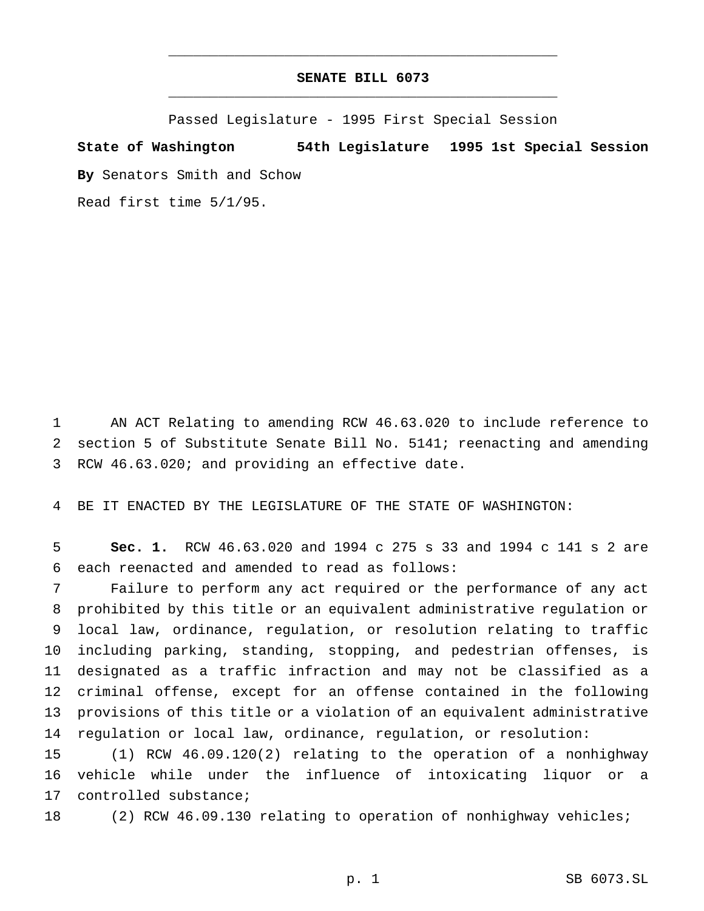## **SENATE BILL 6073** \_\_\_\_\_\_\_\_\_\_\_\_\_\_\_\_\_\_\_\_\_\_\_\_\_\_\_\_\_\_\_\_\_\_\_\_\_\_\_\_\_\_\_\_\_\_\_

\_\_\_\_\_\_\_\_\_\_\_\_\_\_\_\_\_\_\_\_\_\_\_\_\_\_\_\_\_\_\_\_\_\_\_\_\_\_\_\_\_\_\_\_\_\_\_

Passed Legislature - 1995 First Special Session

# **State of Washington 54th Legislature 1995 1st Special Session**

**By** Senators Smith and Schow

Read first time 5/1/95.

 AN ACT Relating to amending RCW 46.63.020 to include reference to section 5 of Substitute Senate Bill No. 5141; reenacting and amending RCW 46.63.020; and providing an effective date.

BE IT ENACTED BY THE LEGISLATURE OF THE STATE OF WASHINGTON:

 **Sec. 1.** RCW 46.63.020 and 1994 c 275 s 33 and 1994 c 141 s 2 are each reenacted and amended to read as follows:

 Failure to perform any act required or the performance of any act prohibited by this title or an equivalent administrative regulation or local law, ordinance, regulation, or resolution relating to traffic including parking, standing, stopping, and pedestrian offenses, is designated as a traffic infraction and may not be classified as a criminal offense, except for an offense contained in the following provisions of this title or a violation of an equivalent administrative regulation or local law, ordinance, regulation, or resolution:

 (1) RCW 46.09.120(2) relating to the operation of a nonhighway vehicle while under the influence of intoxicating liquor or a controlled substance;

(2) RCW 46.09.130 relating to operation of nonhighway vehicles;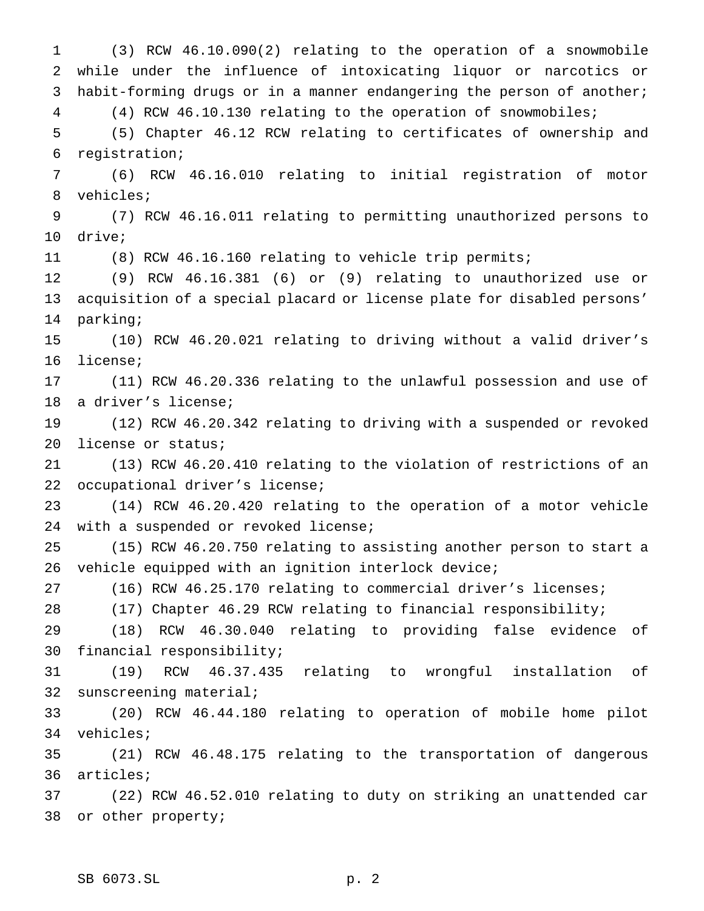(3) RCW 46.10.090(2) relating to the operation of a snowmobile while under the influence of intoxicating liquor or narcotics or habit-forming drugs or in a manner endangering the person of another; (4) RCW 46.10.130 relating to the operation of snowmobiles; (5) Chapter 46.12 RCW relating to certificates of ownership and registration; (6) RCW 46.16.010 relating to initial registration of motor vehicles; (7) RCW 46.16.011 relating to permitting unauthorized persons to drive; (8) RCW 46.16.160 relating to vehicle trip permits; (9) RCW 46.16.381 (6) or (9) relating to unauthorized use or acquisition of a special placard or license plate for disabled persons' parking; (10) RCW 46.20.021 relating to driving without a valid driver's license; (11) RCW 46.20.336 relating to the unlawful possession and use of a driver's license; (12) RCW 46.20.342 relating to driving with a suspended or revoked license or status; (13) RCW 46.20.410 relating to the violation of restrictions of an occupational driver's license; (14) RCW 46.20.420 relating to the operation of a motor vehicle with a suspended or revoked license; (15) RCW 46.20.750 relating to assisting another person to start a vehicle equipped with an ignition interlock device; (16) RCW 46.25.170 relating to commercial driver's licenses; (17) Chapter 46.29 RCW relating to financial responsibility; (18) RCW 46.30.040 relating to providing false evidence of financial responsibility; (19) RCW 46.37.435 relating to wrongful installation of sunscreening material; (20) RCW 46.44.180 relating to operation of mobile home pilot vehicles; (21) RCW 46.48.175 relating to the transportation of dangerous articles; (22) RCW 46.52.010 relating to duty on striking an unattended car or other property;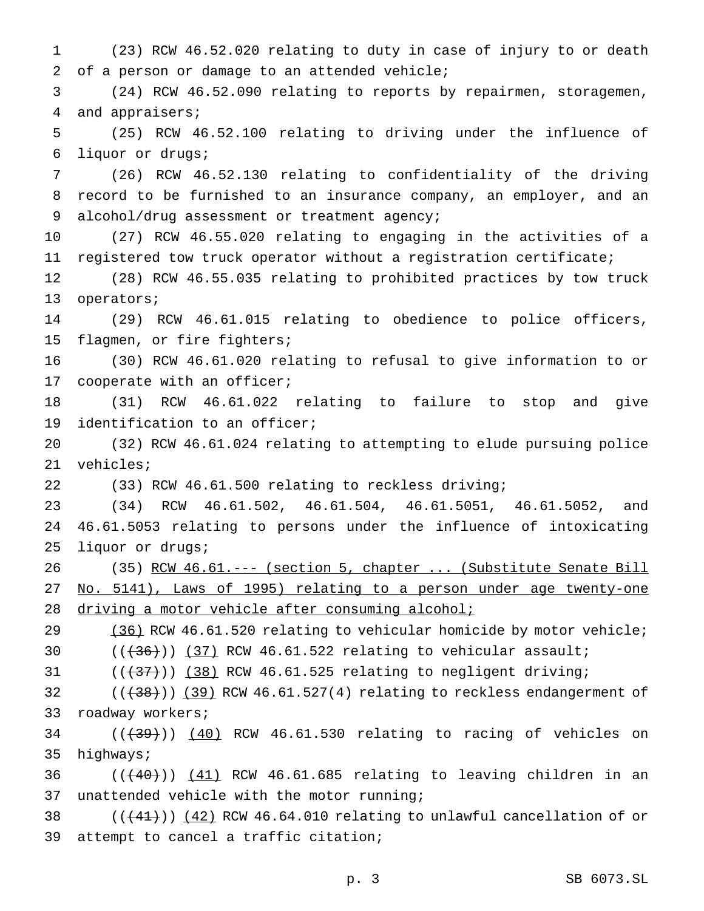(23) RCW 46.52.020 relating to duty in case of injury to or death of a person or damage to an attended vehicle; (24) RCW 46.52.090 relating to reports by repairmen, storagemen, and appraisers; (25) RCW 46.52.100 relating to driving under the influence of liquor or drugs; (26) RCW 46.52.130 relating to confidentiality of the driving record to be furnished to an insurance company, an employer, and an 9 alcohol/drug assessment or treatment agency; (27) RCW 46.55.020 relating to engaging in the activities of a registered tow truck operator without a registration certificate; (28) RCW 46.55.035 relating to prohibited practices by tow truck operators; (29) RCW 46.61.015 relating to obedience to police officers, flagmen, or fire fighters; (30) RCW 46.61.020 relating to refusal to give information to or cooperate with an officer; (31) RCW 46.61.022 relating to failure to stop and give identification to an officer; (32) RCW 46.61.024 relating to attempting to elude pursuing police vehicles; (33) RCW 46.61.500 relating to reckless driving; (34) RCW 46.61.502, 46.61.504, 46.61.5051, 46.61.5052, and 46.61.5053 relating to persons under the influence of intoxicating liquor or drugs; 26 (35) RCW 46.61.--- (section 5, chapter ... (Substitute Senate Bill No. 5141), Laws of 1995) relating to a person under age twenty-one driving a motor vehicle after consuming alcohol; (36) RCW 46.61.520 relating to vehicular homicide by motor vehicle;  $((+36))$   $(37)$  RCW 46.61.522 relating to vehicular assault;  $((+37))$  (38) RCW 46.61.525 relating to negligent driving;  $((+38))$   $(39)$  RCW 46.61.527(4) relating to reckless endangerment of roadway workers;

  $((+39))$   $(40)$  RCW 46.61.530 relating to racing of vehicles on highways;

 ( $(\overline{+40})$ )  $(41)$  RCW 46.61.685 relating to leaving children in an unattended vehicle with the motor running;

38  $((+41))$   $(42)$  RCW 46.64.010 relating to unlawful cancellation of or attempt to cancel a traffic citation;